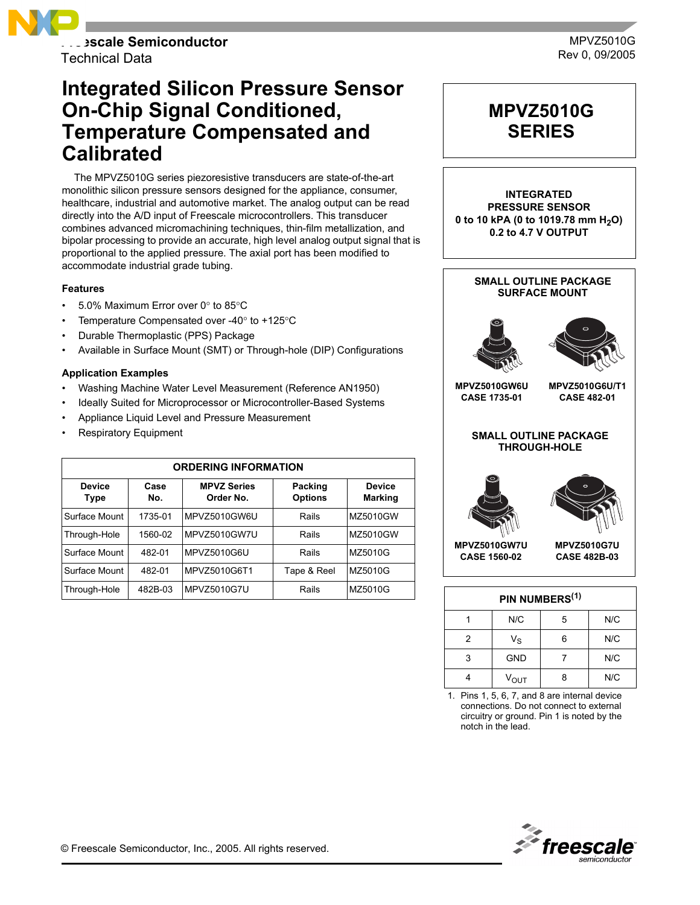

Technical Data

## **Integrated Silicon Pressure Sensor On-Chip Signal Conditioned, Temperature Compensated and Calibrated**

The MPVZ5010G series piezoresistive transducers are state-of-the-art monolithic silicon pressure sensors designed for the appliance, consumer, healthcare, industrial and automotive market. The analog output can be read directly into the A/D input of Freescale microcontrollers. This transducer combines advanced micromachining techniques, thin-film metallization, and bipolar processing to provide an accurate, high level analog output signal that is proportional to the applied pressure. The axial port has been modified to accommodate industrial grade tubing.

#### **Features**

- 5.0% Maximum Error over 0° to 85°C
- Temperature Compensated over -40° to +125°C
- Durable Thermoplastic (PPS) Package
- Available in Surface Mount (SMT) or Through-hole (DIP) Configurations

#### **Application Examples**

- Washing Machine Water Level Measurement (Reference AN1950)
- Ideally Suited for Microprocessor or Microcontroller-Based Systems
- Appliance Liquid Level and Pressure Measurement
- **Respiratory Equipment**

| <b>ORDERING INFORMATION</b>  |             |                                 |                           |                                 |  |  |  |
|------------------------------|-------------|---------------------------------|---------------------------|---------------------------------|--|--|--|
| <b>Device</b><br><b>Type</b> | Case<br>No. | <b>MPVZ Series</b><br>Order No. | Packing<br><b>Options</b> | <b>Device</b><br><b>Marking</b> |  |  |  |
| Surface Mount                | 1735-01     | MPVZ5010GW6U                    | Rails                     | MZ5010GW                        |  |  |  |
| Through-Hole                 | 1560-02     | MPVZ5010GW7U                    | Rails                     | MZ5010GW                        |  |  |  |
| Surface Mount                | 482-01      | MPVZ5010G6U                     | Rails                     | MZ5010G                         |  |  |  |
| Surface Mount                | 482-01      | MPVZ5010G6T1                    | Tape & Reel               | MZ5010G                         |  |  |  |
| Through-Hole                 | 482B-03     | MPVZ5010G7U                     | Rails                     | MZ5010G                         |  |  |  |



**INTEGRATED PRESSURE SENSOR** 0 to 10 kPA (0 to 1019.78 mm H<sub>2</sub>O) **0.2 to 4.7 V OUTPUT**

# **SMALL OUTLINE PACKAGE SURFACE MOUNT MPVZ5010GW6U MPVZ5010G6U/T1**

**CASE 1735-01**

**CASE 482-01**

#### **SMALL OUTLINE PACKAGE THROUGH-HOLE**





**MPVZ5010GW7U CASE 1560-02**



| PIN NUMBERS <sup>(1)</sup> |             |   |     |  |  |
|----------------------------|-------------|---|-----|--|--|
|                            | N/C         | 5 | N/C |  |  |
| 2                          | $V_{\rm S}$ | 6 | N/C |  |  |
| 3                          | <b>GND</b>  |   | N/C |  |  |
|                            | $V_{OUT}$   | 8 | N/C |  |  |

1. Pins 1, 5, 6, 7, and 8 are internal device connections. Do not connect to external circuitry or ground. Pin 1 is noted by the notch in the lead.

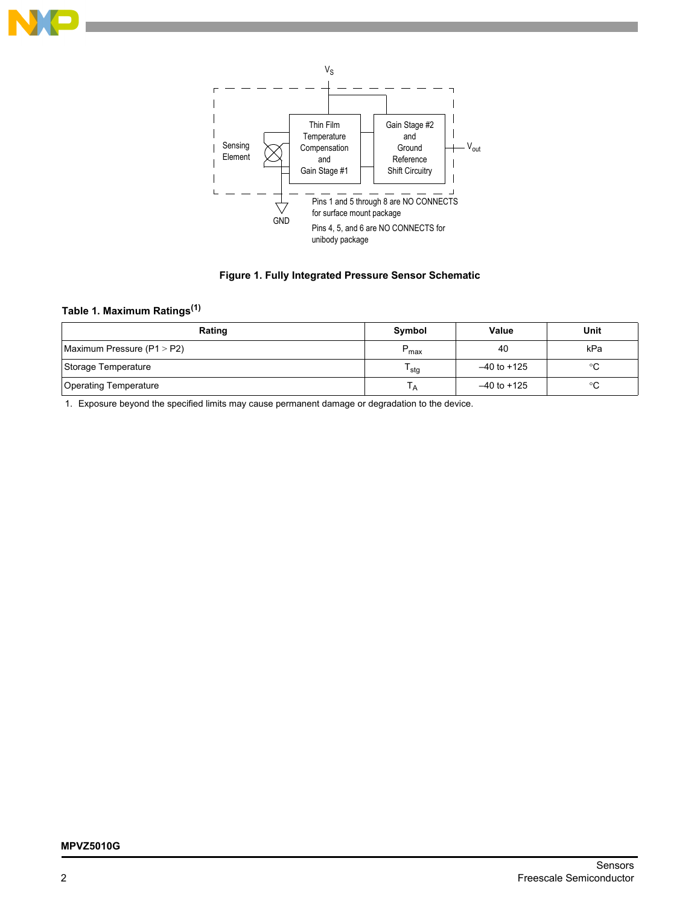





## **Table 1. Maximum Ratings(1)**

| Rating                       | Symbol           | Value           | Unit |
|------------------------------|------------------|-----------------|------|
| Maximum Pressure (P1 > P2)   | $P_{max}$        | 40              | kPa  |
| Storage Temperature          | <sup>I</sup> stg | $-40$ to $+125$ | °C   |
| <b>Operating Temperature</b> | ١A               | $-40$ to $+125$ | °C   |

1. Exposure beyond the specified limits may cause permanent damage or degradation to the device.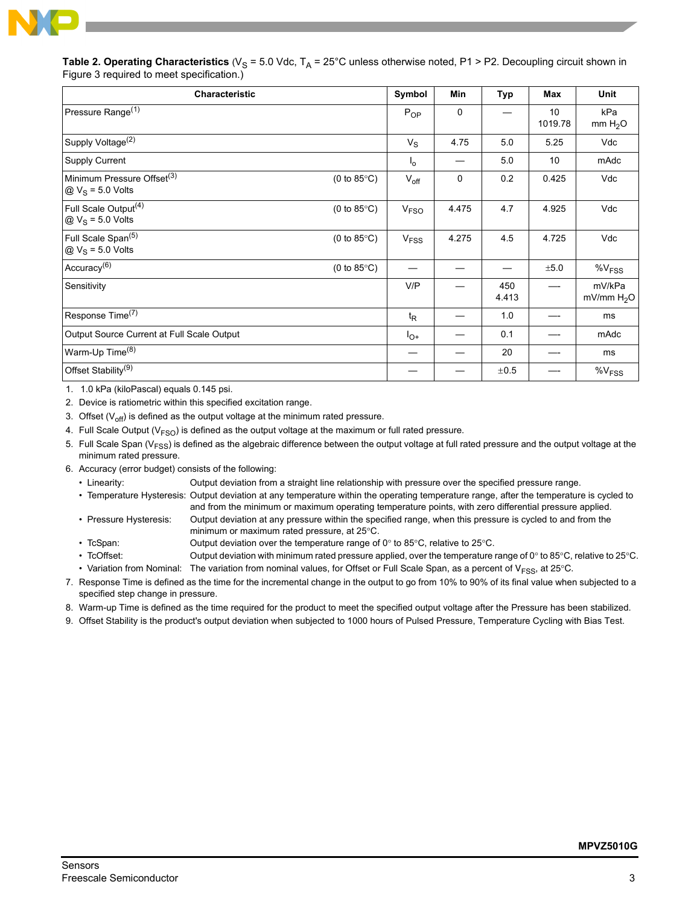

| Table 2. Operating Characteristics (V <sub>S</sub> = 5.0 Vdc, T <sub>A</sub> = 25°C unless otherwise noted, P1 > P2. Decoupling circuit shown in |  |  |  |
|--------------------------------------------------------------------------------------------------------------------------------------------------|--|--|--|
| Figure 3 required to meet specification.)                                                                                                        |  |  |  |

| <b>Characteristic</b>                                                                                          | Symbol                 | <b>Min</b> | <b>Typ</b>   | Max           | <b>Unit</b>                      |
|----------------------------------------------------------------------------------------------------------------|------------------------|------------|--------------|---------------|----------------------------------|
| Pressure Range <sup>(1)</sup>                                                                                  | $P_{OP}$               | 0          |              | 10<br>1019.78 | kPa<br>mm H <sub>2</sub> O       |
| Supply Voltage <sup>(2)</sup>                                                                                  | $V_{\rm S}$            | 4.75       | 5.0          | 5.25          | Vdc                              |
| <b>Supply Current</b>                                                                                          | $I_{\Omega}$           |            | 5.0          | 10            | mAdc                             |
| Minimum Pressure Offset <sup>(3)</sup><br>$(0 to 85^{\circ}C)$<br>$\textcircled{a}$ V <sub>S</sub> = 5.0 Volts | $V_{off}$              | 0          | 0.2          | 0.425         | Vdc                              |
| Full Scale Output <sup>(4)</sup><br>$(0 to 85^{\circ}C)$<br>$\textcircled{a}$ V <sub>S</sub> = 5.0 Volts       | V <sub>FSO</sub>       | 4.475      | 4.7          | 4.925         | Vdc                              |
| Full Scale Span <sup>(5)</sup><br>$(0 to 85^{\circ}C)$<br>$QV_S = 5.0$ Volts                                   | <b>V<sub>FSS</sub></b> | 4.275      | 4.5          | 4.725         | Vdc                              |
| Accuracy <sup>(6)</sup><br>$(0 to 85^{\circ}C)$                                                                |                        |            |              | ±5.0          | $\%V_{FSS}$                      |
| Sensitivity                                                                                                    | V/P                    |            | 450<br>4.413 |               | mV/kPa<br>mV/mm H <sub>2</sub> O |
| Response Time <sup>(7)</sup>                                                                                   | $t_{\mathsf{R}}$       |            | 1.0          |               | ms                               |
| Output Source Current at Full Scale Output                                                                     | $I_{O^+}$              |            | 0.1          |               | mAdc                             |
| Warm-Up Time <sup>(8)</sup>                                                                                    | —                      |            | 20           |               | ms                               |
| Offset Stability <sup>(9)</sup>                                                                                |                        |            | ±0.5         |               | $\%V_{FSS}$                      |

1. 1.0 kPa (kiloPascal) equals 0.145 psi.

2. Device is ratiometric within this specified excitation range.

3. Offset  $(V_{off})$  is defined as the output voltage at the minimum rated pressure.

4. Full Scale Output ( $V<sub>FSO</sub>$ ) is defined as the output voltage at the maximum or full rated pressure.

5. Full Scale Span ( $V_{FSS}$ ) is defined as the algebraic difference between the output voltage at full rated pressure and the output voltage at the minimum rated pressure.

6. Accuracy (error budget) consists of the following:

• Linearity: Output deviation from a straight line relationship with pressure over the specified pressure range.

- ï Temperature Hysteresis: Output deviation at any temperature within the operating temperature range, after the temperature is cycled to and from the minimum or maximum operating temperature points, with zero differential pressure applied. ï Pressure Hysteresis: Output deviation at any pressure within the specified range, when this pressure is cycled to and from the
	- minimum or maximum rated pressure, at 25°C.
- TcSpan: Output deviation over the temperature range of 0° to 85°C, relative to 25°C.
- TcOffset: Output deviation with minimum rated pressure applied, over the temperature range of 0° to 85°C, relative to 25°C. • Variation from Nominal: The variation from nominal values, for Offset or Full Scale Span, as a percent of V<sub>FSS</sub>, at 25°C.
- 7. Response Time is defined as the time for the incremental change in the output to go from 10% to 90% of its final value when subjected to a specified step change in pressure.
- 8. Warm-up Time is defined as the time required for the product to meet the specified output voltage after the Pressure has been stabilized.
- 9. Offset Stability is the product's output deviation when subjected to 1000 hours of Pulsed Pressure, Temperature Cycling with Bias Test.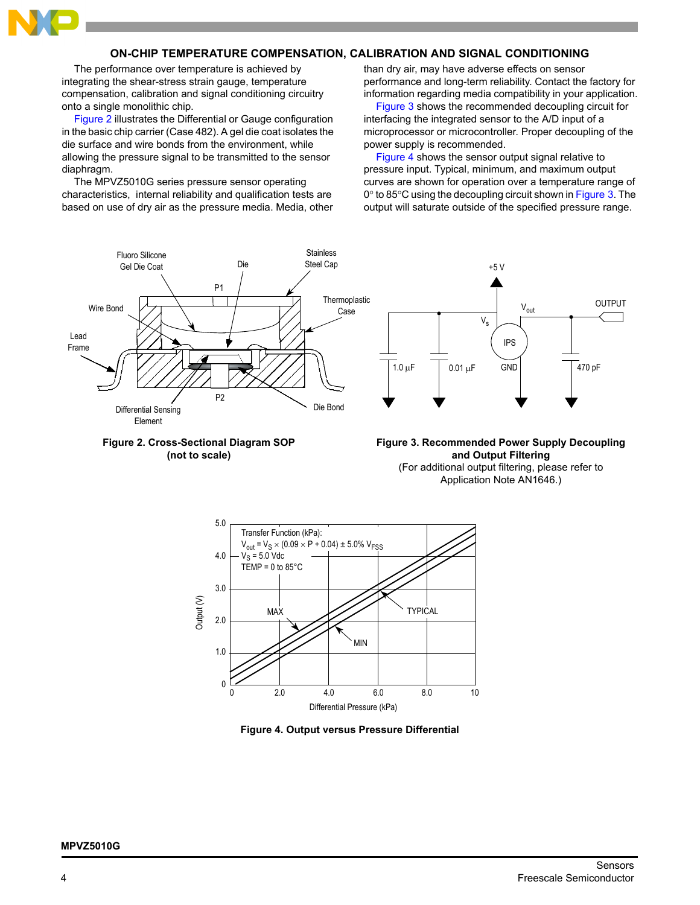

#### **ON-CHIP TEMPERATURE COMPENSATION, CALIBRATION AND SIGNAL CONDITIONING**

The performance over temperature is achieved by integrating the shear-stress strain gauge, temperature compensation, calibration and signal conditioning circuitry onto a single monolithic chip.

[Figure 2](#page-3-0) illustrates the Differential or Gauge configuration in the basic chip carrier (Case 482). A gel die coat isolates the die surface and wire bonds from the environment, while allowing the pressure signal to be transmitted to the sensor diaphragm.

The MPVZ5010G series pressure sensor operating characteristics, internal reliability and qualification tests are based on use of dry air as the pressure media. Media, other than dry air, may have adverse effects on sensor performance and long-term reliability. Contact the factory for information regarding media compatibility in your application.

[Figure 3](#page-3-1) shows the recommended decoupling circuit for interfacing the integrated sensor to the A/D input of a microprocessor or microcontroller. Proper decoupling of the power supply is recommended.

[Figure 4](#page-3-2) shows the sensor output signal relative to pressure input. Typical, minimum, and maximum output curves are shown for operation over a temperature range of 0° to 85°C using the decoupling circuit shown in [Figure 3.](#page-3-1) The output will saturate outside of the specified pressure range.



<span id="page-3-0"></span>

<span id="page-3-1"></span>**Figure 3. Recommended Power Supply Decoupling and Output Filtering** (For additional output filtering, please refer to Application Note AN1646.)



<span id="page-3-2"></span>**Figure 4. Output versus Pressure Differential**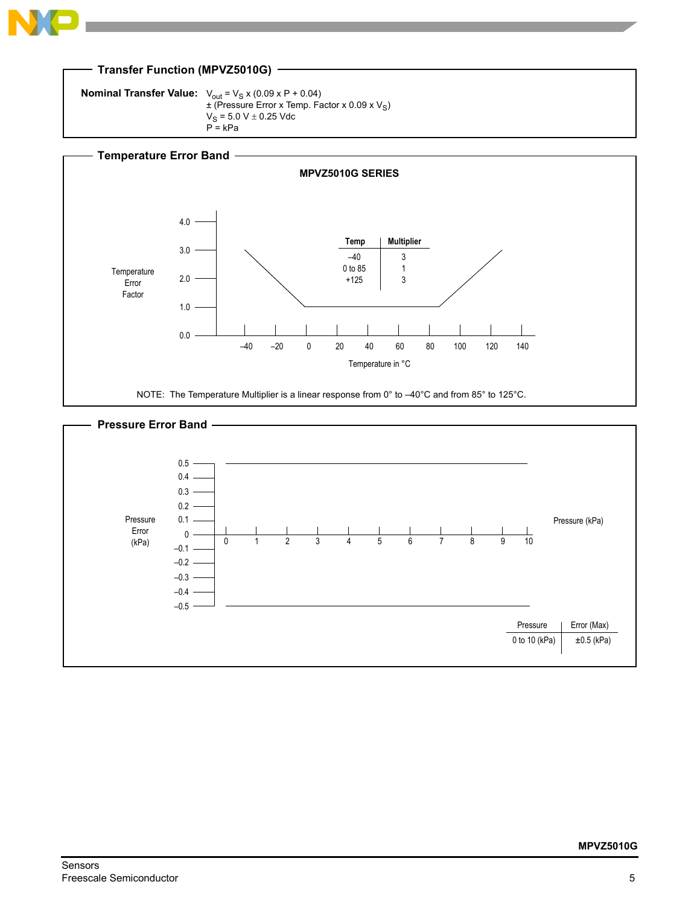

**Nominal Transfer Value:**  $V_{\text{out}} = V_{\text{S}} \times (0.09 \times P + 0.04)$  $\pm$  (Pressure Error x Temp. Factor x 0.09 x V<sub>S</sub>)  $V_S = 5.0 V \pm 0.25 V$ dc  $P = kPa$ 



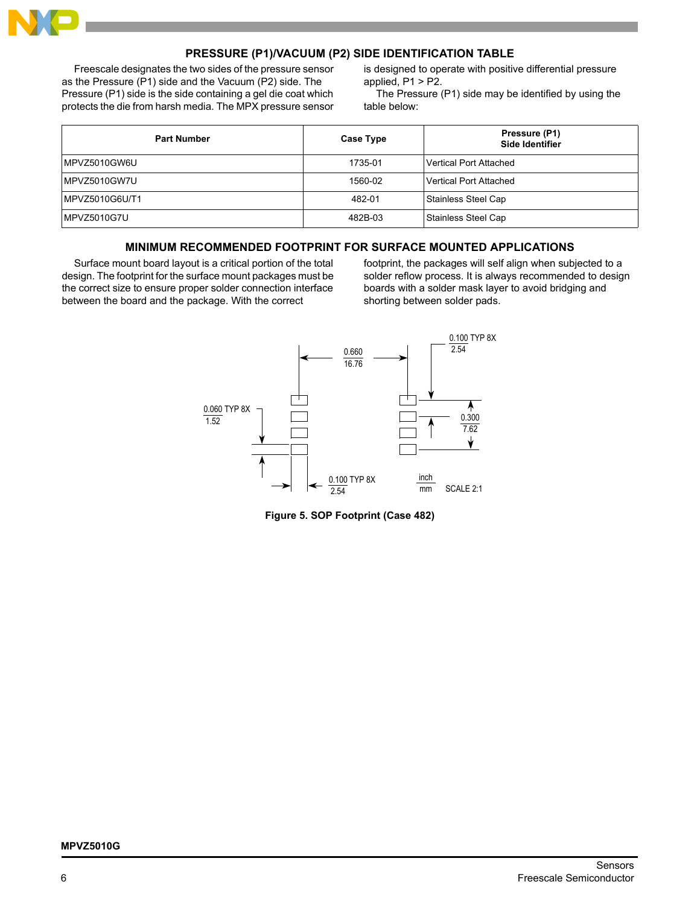

#### **PRESSURE (P1)/VACUUM (P2) SIDE IDENTIFICATION TABLE**

Freescale designates the two sides of the pressure sensor as the Pressure (P1) side and the Vacuum (P2) side. The Pressure (P1) side is the side containing a gel die coat which protects the die from harsh media. The MPX pressure sensor is designed to operate with positive differential pressure applied,  $P1 > P2$ .

The Pressure (P1) side may be identified by using the table below:

| <b>Part Number</b> | Case Type | Pressure (P1)<br>Side Identifier |
|--------------------|-----------|----------------------------------|
| MPVZ5010GW6U       | 1735-01   | Vertical Port Attached           |
| MPVZ5010GW7U       | 1560-02   | l Vertical Port Attached         |
| MPVZ5010G6U/T1     | 482-01    | Stainless Steel Cap              |
| MPVZ5010G7U        | 482B-03   | Stainless Steel Cap              |

#### **MINIMUM RECOMMENDED FOOTPRINT FOR SURFACE MOUNTED APPLICATIONS**

Surface mount board layout is a critical portion of the total design. The footprint for the surface mount packages must be the correct size to ensure proper solder connection interface between the board and the package. With the correct

footprint, the packages will self align when subjected to a solder reflow process. It is always recommended to design boards with a solder mask layer to avoid bridging and shorting between solder pads.



**Figure 5. SOP Footprint (Case 482)**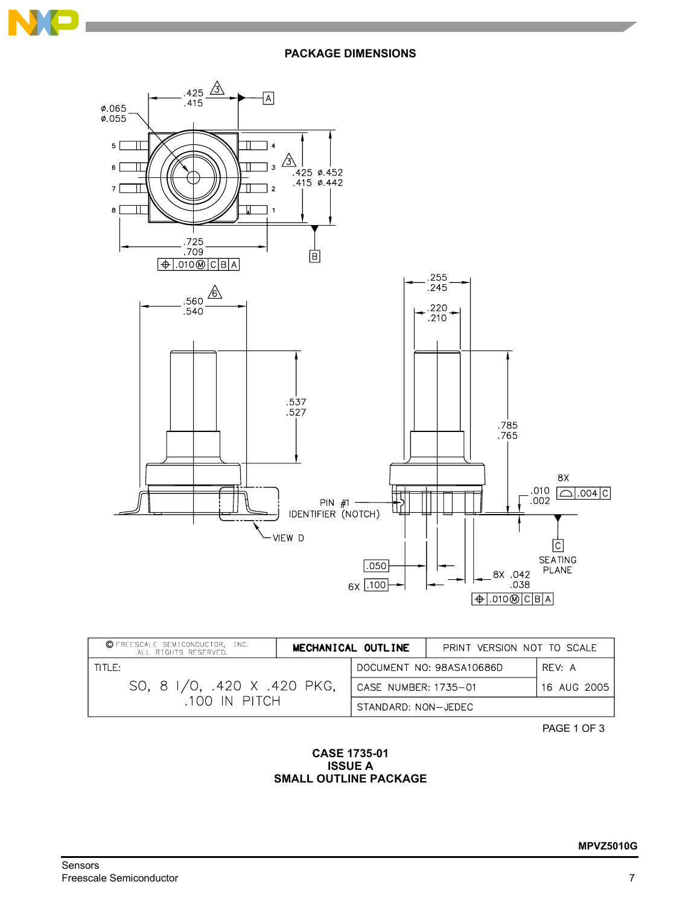



| © FREESCALE SEMICONDUCTOR, INC.<br>ALL RIGHTS RESERVED. | MECHANICAL OUTLINE |                      | PRINT VERSION NOT TO SCALE |             |
|---------------------------------------------------------|--------------------|----------------------|----------------------------|-------------|
| THF:                                                    |                    |                      | DOCUMENT NO: 98ASA10686D   | RFV: A      |
| SO, 8 I/O, .420 X .420 PKG,<br>.100 IN PITCH            |                    | CASE NUMBER: 1735-01 |                            | 16 AUG 2005 |
|                                                         |                    | STANDARD: NON-JEDEC  |                            |             |

PAGE 1 OF 3

#### **CASE 1735-01 ISSUE A SMALL OUTLINE PACKAGE**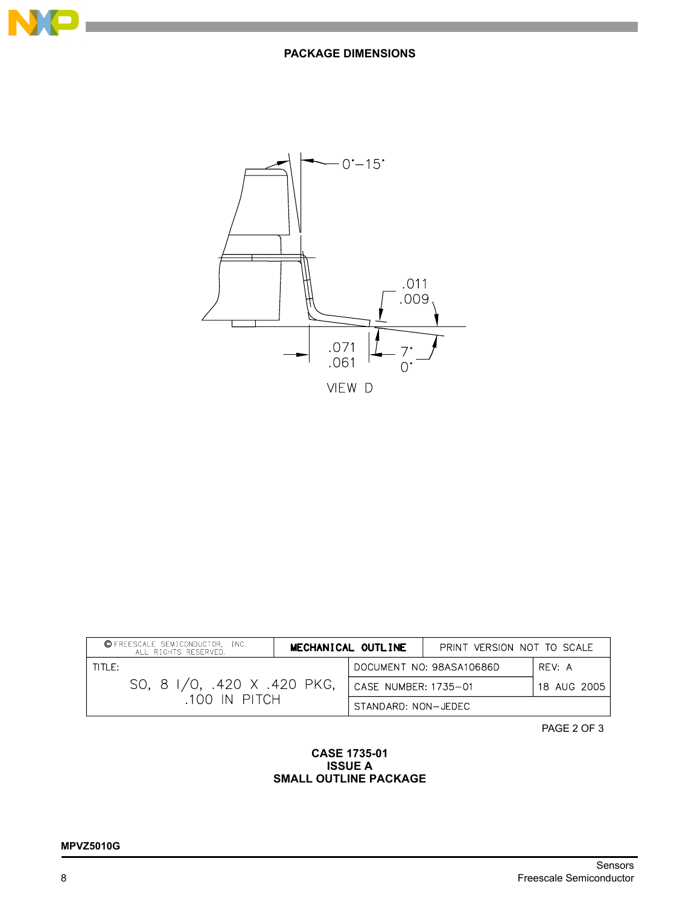



| © FREESCALE SEMICONDUCTOR, INC.<br>ALL RIGHTS RESERVED. |  | MECHANICAL OUTLINE   | PRINT VERSION NOT TO SCALE |                    |
|---------------------------------------------------------|--|----------------------|----------------------------|--------------------|
| TITIF:                                                  |  |                      | DOCUMENT NO: 98ASA10686D   | RFV <sub>1</sub> A |
| SO, 8 I/O, .420 X .420 PKG,<br>.100 IN PITCH            |  | CASE NUMBER: 1735-01 |                            | 18 AUG 2005        |
|                                                         |  | STANDARD: NON-JEDEC  |                            |                    |

PAGE 2 OF 3

#### **CASE 1735-01 ISSUE A SMALL OUTLINE PACKAGE**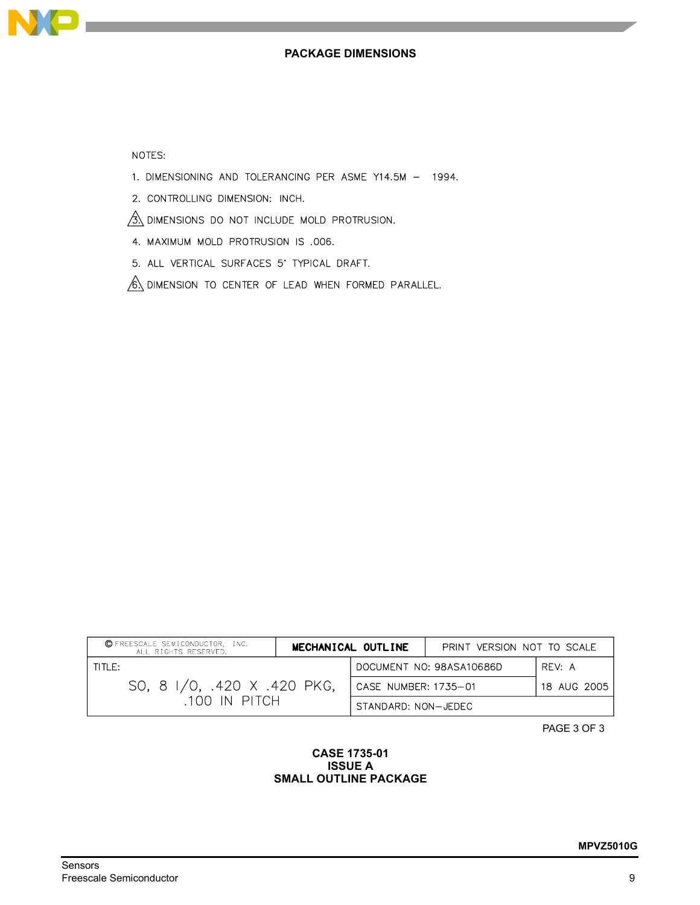

NOTES:

- 1. DIMENSIONING AND TOLERANCING PER ASME Y14.5M 1994.
- 2. CONTROLLING DIMENSION: INCH.
- $\frac{1}{2}$  dimensions do not include mold protrusion.
- 4. MAXIMUM MOLD PROTRUSION IS .006.
- 5. ALL VERTICAL SURFACES 5' TYPICAL DRAFT.
- $\sqrt{6}$  dimension to center of lead when formed parallel.

| C FREESCALE SEMICONDUCTOR, INC.<br>MECHANICAL OUTLINE<br>ALL RIGHTS RESERVED. |  |                      | PRINT VERSION NOT TO SCALE |             |
|-------------------------------------------------------------------------------|--|----------------------|----------------------------|-------------|
| TITLE:                                                                        |  |                      | DOCUMENT NO: 98ASA10686D   | RFV: A      |
| SO, 8 I/O, .420 X .420 PKG,<br>100 IN PITCH                                   |  | CASE NUMBER: 1735-01 |                            | 18 AUG 2005 |
|                                                                               |  | STANDARD: NON-JEDEC  |                            |             |

PAGE 3 OF 3

#### **CASE 1735-01 ISSUE A SMALL OUTLINE PACKAGE**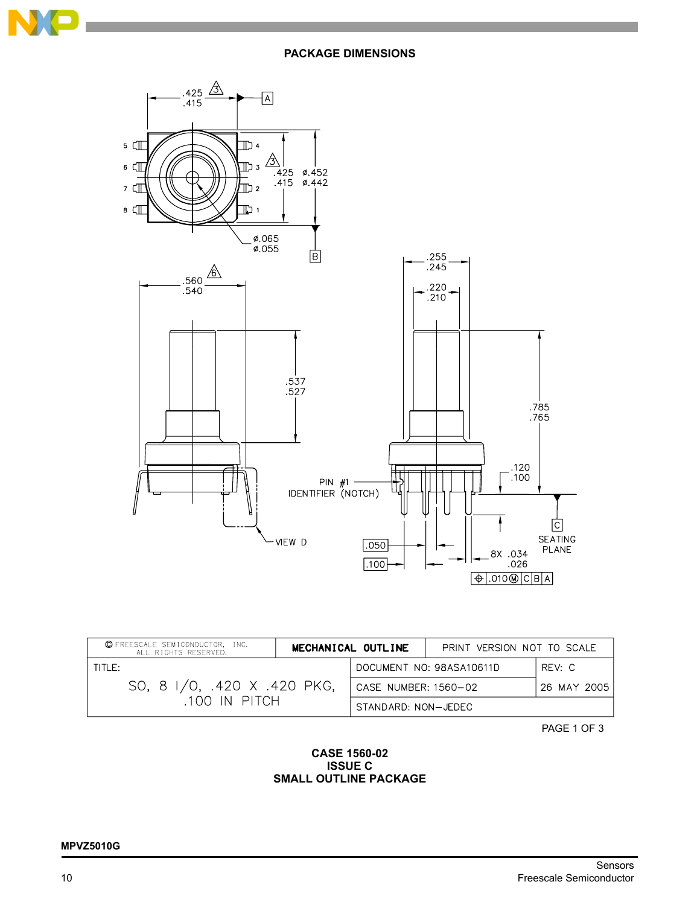



| © FREESCALE SEMICONDUCTOR, INC.<br>ALL RIGHTS RESERVED. |  | MECHANICAL OUTLINE                  | PRINT VERSION NOT TO SCALE |        |
|---------------------------------------------------------|--|-------------------------------------|----------------------------|--------|
| TITLE:                                                  |  | DOCUMENT NO: 98ASA10611D            |                            | RFV: C |
| SO, 8 I/O, .420 X .420 PKG,<br>.100 IN PITCH            |  | CASE NUMBER: 1560-02<br>26 MAY 2005 |                            |        |
|                                                         |  | STANDARD: NON-JEDEC                 |                            |        |

PAGE 1 OF 3

#### **CASE 1560-02 ISSUE C SMALL OUTLINE PACKAGE**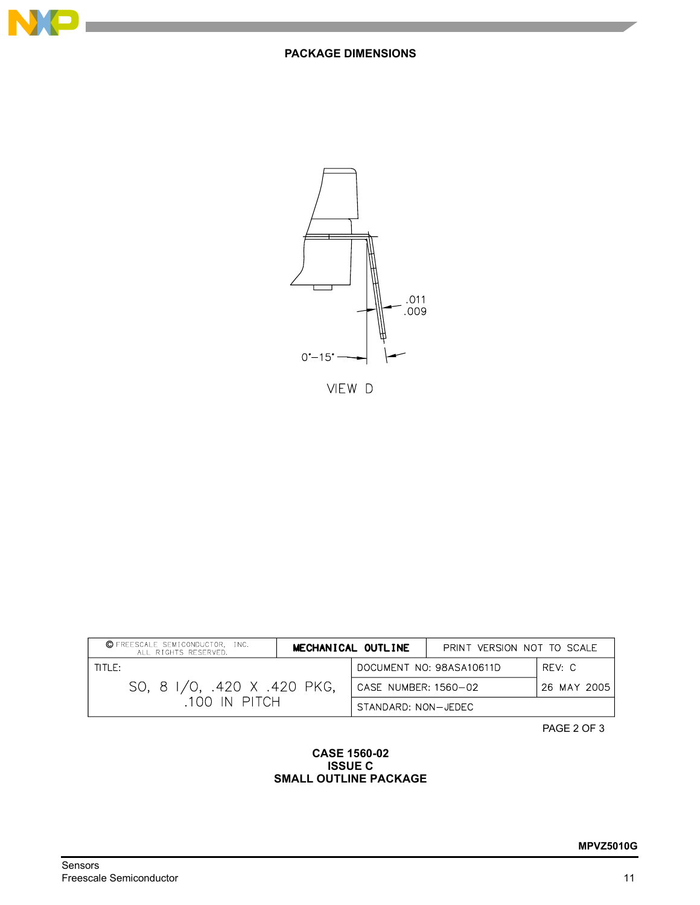



VIEW D

| © FREESCALE SEMICONDUCTOR, INC.<br>ALL RIGHTS RESERVED. |  | MECHANICAL OUTLINE   | PRINT VERSION NOT TO SCALE |             |
|---------------------------------------------------------|--|----------------------|----------------------------|-------------|
| THF:                                                    |  |                      | DOCUMENT NO: 98ASA10611D   | RFV: C      |
| SO, 8 I/O, .420 X .420 PKG,<br>.100 IN PITCH            |  | CASE NUMBER: 1560-02 |                            | 26 MAY 2005 |
|                                                         |  | STANDARD: NON-JEDEC  |                            |             |

PAGE 2 OF 3

#### **CASE 1560-02 ISSUE C SMALL OUTLINE PACKAGE**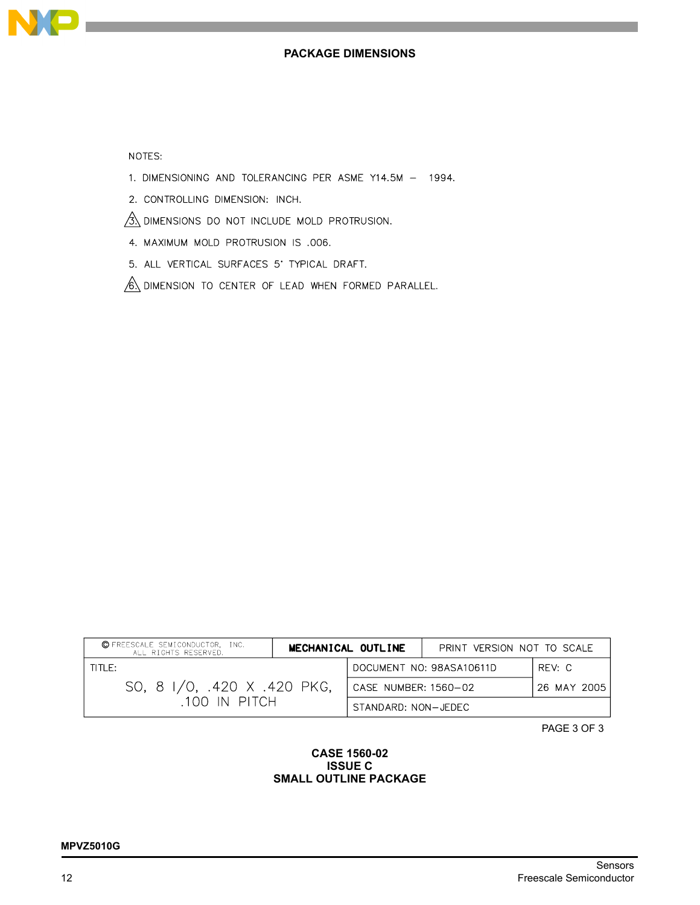

### NOTES:

- 1. DIMENSIONING AND TOLERANCING PER ASME Y14.5M 1994.
- 2. CONTROLLING DIMENSION: INCH.
- $\frac{3}{3}$  dimensions do not include mold protrusion.
- 4. MAXIMUM MOLD PROTRUSION IS .006.
- 5. ALL VERTICAL SURFACES 5' TYPICAL DRAFT.
- 6 DIMENSION TO CENTER OF LEAD WHEN FORMED PARALLEL.

| C FREESCALE SEMICONDUCTOR, INC.<br>ALL RIGHTS RESERVED. |  | MECHANICAL OUTLINE       | PRINT VERSION NOT TO SCALE |             |
|---------------------------------------------------------|--|--------------------------|----------------------------|-------------|
| TITLE:                                                  |  | DOCUMENT NO: 98ASA10611D |                            | RFV: C      |
| SO, 8 I/O, .420 X .420 PKG,<br>100 IN PITCH             |  | CASE NUMBER: 1560-02     |                            | 26 MAY 2005 |
|                                                         |  | STANDARD: NON-JEDEC      |                            |             |

PAGE 3 OF 3

#### **CASE 1560-02 ISSUE C SMALL OUTLINE PACKAGE**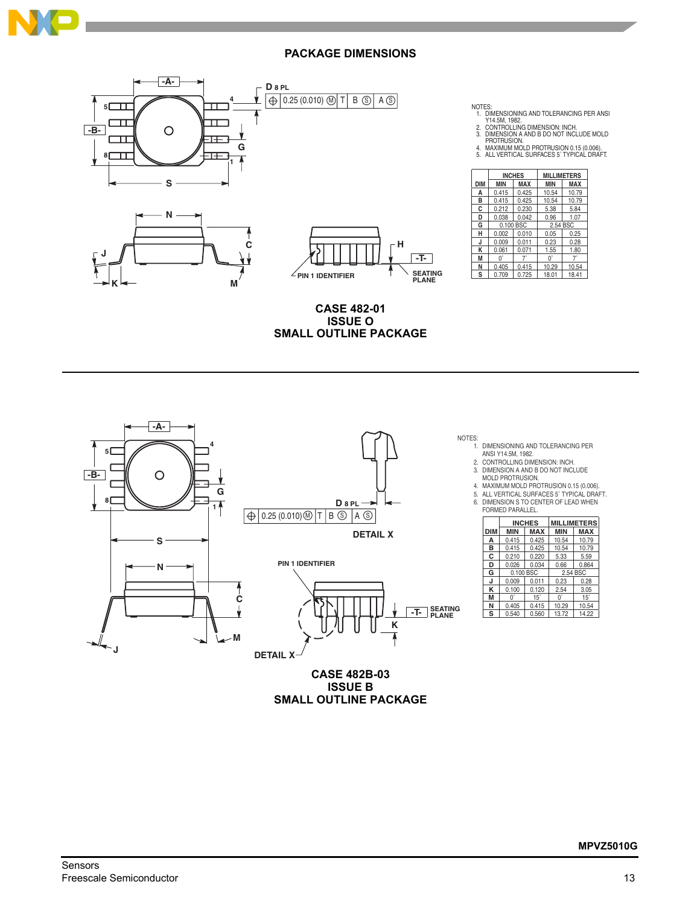

**J**

## **PACKAGE DIMENSIONS**



**M**

| NOTES:                                     | 1. DIMENSIONING AND TOLERANCING PER ANSI<br>Y14.5M. 1982.<br>2. CONTROLLING DIMENSION: INCH.<br>3. DIMENSION A AND B DO NOT INCLUDE MOLD<br>PROTRUSION.<br>4. MAXIMUM MOLD PROTRUSION 0.15 (0.006). |               |                    |            |  |  |  |
|--------------------------------------------|-----------------------------------------------------------------------------------------------------------------------------------------------------------------------------------------------------|---------------|--------------------|------------|--|--|--|
| 5. ALL VERTICAL SURFACES 5° TYPICAL DRAFT. |                                                                                                                                                                                                     |               |                    |            |  |  |  |
|                                            |                                                                                                                                                                                                     | <b>INCHES</b> | <b>MILLIMETERS</b> |            |  |  |  |
| <b>DIM</b>                                 | <b>MIN</b>                                                                                                                                                                                          | MAX           | <b>MIN</b>         | <b>MAX</b> |  |  |  |
| А                                          | 0.415                                                                                                                                                                                               | 0.425         | 10.54              | 10.79      |  |  |  |
| B                                          | 0.415                                                                                                                                                                                               | 0.425         | 10.54              | 10.79      |  |  |  |
| C                                          | 0.212                                                                                                                                                                                               | 0.230         | 5.38               | 5.84       |  |  |  |
| D                                          | 0.038                                                                                                                                                                                               | 0.042         | 0.96               | 1.07       |  |  |  |
| G                                          | 0.100 BSC                                                                                                                                                                                           |               | 2.54 BSC           |            |  |  |  |
| н                                          | 0.002                                                                                                                                                                                               | 0.010         | 0.05               | 0.25       |  |  |  |
| J                                          | 0.009                                                                                                                                                                                               | 0.011         | 0.23               | 0.28       |  |  |  |
| K                                          | 0.061                                                                                                                                                                                               | 0.071         | 1.55               | 1.80       |  |  |  |
| M                                          | $0^{\circ}$                                                                                                                                                                                         | $7^{\circ}$   | 0°                 | $7^\circ$  |  |  |  |
| N                                          | 0.405                                                                                                                                                                                               | 0.415         | 10.29              | 10.54      |  |  |  |
| s                                          | 0.709                                                                                                                                                                                               | 0.725         | 18.01              | 18.41      |  |  |  |

**CASE 482-01 ISSUE O SMALL OUTLINE PACKAGE**

 $\angle$ **PIN 1 IDENTIFIER** 



**CASE 482B-03 ISSUE B SMALL OUTLINE PACKAGE** NOTES:

**SEATING PLANE -T-**

1. DIMENSIONING AND TOLERANCING PER

2. ANSI Y14.5M, 1982. CONTROLLING DIMENSION: INCH.

3. DIMENSION A AND B DO NOT INCLUDE MOLD PROTRUSION.

4. MAXIMUM MOLD PROTRUSION 0.15 (0.006).

5. 6. ALL VERTICAL SURFACES 5˚ TYPICAL DRAFT. DIMENSION S TO CENTER OF LEAD WHEN

| FORMED PARALLEL. |            |               |                    |            |  |  |  |  |
|------------------|------------|---------------|--------------------|------------|--|--|--|--|
|                  |            | <b>INCHES</b> | <b>MILLIMETERS</b> |            |  |  |  |  |
| DIM              | <b>MIN</b> | <b>MAX</b>    | <b>MIN</b>         | <b>MAX</b> |  |  |  |  |
| Α                | 0.415      | 0.425         | 10.54              | 10.79      |  |  |  |  |
| в                | 0.415      | 0.425         | 10.54              | 10.79      |  |  |  |  |
| С                | 0.210      | 0.220         | 5.33               | 5.59       |  |  |  |  |
| D                | 0.026      | 0.034         | 0.66               | 0.864      |  |  |  |  |
| G                | 0.100 BSC  |               | 2.54 BSC           |            |  |  |  |  |
| J                | 0.009      | 0.011         | 0.23               | 0.28       |  |  |  |  |
| κ                | 0.100      | 0.120         | 2.54               | 3.05       |  |  |  |  |
| М                | 0°         | $15^\circ$    | $0^{\circ}$        | $15^\circ$ |  |  |  |  |
| N                | 0.405      | 0.415         | 10.29              | 10.54      |  |  |  |  |
| s                | 0.540      | 0.560         | 13.72              | 14.22      |  |  |  |  |